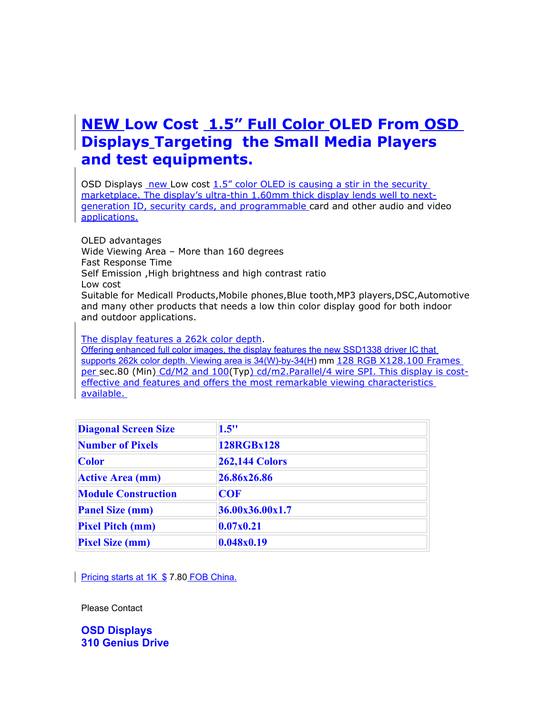## **NEW Low Cost 1.5" Full Color OLED From OSD Displays Targeting the Small Media Players and test equipments.**

OSD Displays new Low cost  $1.5$ " color OLED is causing a stir in the security marketplace. The display's ultra-thin 1.60mm thick display lends well to nextgeneration ID, security cards, and programmable card and other audio and video applications.

OLED advantages Wide Viewing Area – More than 160 degrees Fast Response Time Self Emission ,High brightness and high contrast ratio Low cost Suitable for Medicall Products,Mobile phones,Blue tooth,MP3 players,DSC,Automotive and many other products that needs a low thin color display good for both indoor and outdoor applications.

The display features a 262k color depth.

Offering enhanced full color images, the display features the new SSD1338 driver IC that supports 262k color depth. Viewing area is 34(W)-by-34(H) mm 128 RGB X128.100 Frames per sec.80 (Min) Cd/M2 and 100(Typ) cd/m2.Parallel/4 wire SPI. This display is costeffective and features and offers the most remarkable viewing characteristics available.

| <b>Diagonal Screen Size</b> | 1.5"                  |
|-----------------------------|-----------------------|
| <b>Number of Pixels</b>     | 128RGBx128            |
| <b>Color</b>                | <b>262,144 Colors</b> |
| <b>Active Area (mm)</b>     | 26.86x26.86           |
| <b>Module Construction</b>  | <b>COF</b>            |
| <b>Panel Size (mm)</b>      | 36.00x36.00x1.7       |
| <b>Pixel Pitch (mm)</b>     | 0.07x0.21             |
| <b>Pixel Size (mm)</b>      | 0.048x0.19            |

Pricing starts at 1K \$ 7.80 FOB China.

Please Contact

**OSD Displays 310 Genius Drive**